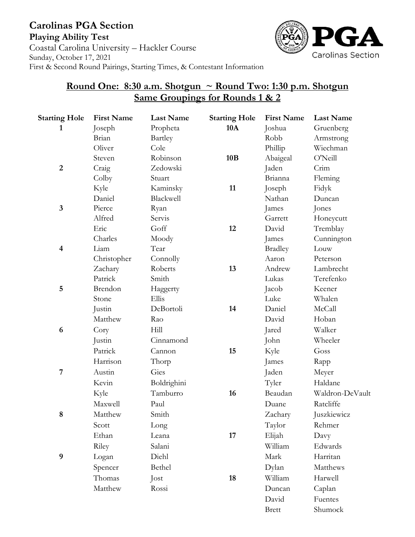

## **Round One: 8:30 a.m. Shotgun ~ Round Two: 1:30 p.m. Shotgun Same Groupings for Rounds 1 & 2**

| <b>Starting Hole</b>    | <b>First Name</b> | <b>Last Name</b> | <b>Starting Hole</b> | <b>First Name</b> | <b>Last Name</b> |
|-------------------------|-------------------|------------------|----------------------|-------------------|------------------|
| 1                       | Joseph            | Propheta         | <b>10A</b>           | Joshua            | Gruenberg        |
|                         | Brian             | Bartley          |                      | Robb              | Armstrong        |
|                         | Oliver            | Cole             |                      | Phillip           | Wiechman         |
|                         | Steven            | Robinson         | 10B                  | Abaigeal          | O'Neill          |
| $\overline{2}$          | Craig             | Zedowski         |                      | Jaden             | Crim             |
|                         | Colby             | Stuart           |                      | Brianna           | Fleming          |
|                         | Kyle              | Kaminsky         | 11                   | Joseph            | Fidyk            |
|                         | Daniel            | Blackwell        |                      | Nathan            | Duncan           |
| $\mathbf{3}$            | Pierce            | Ryan             |                      | James             | Jones            |
|                         | Alfred            | Servis           |                      | Garrett           | Honeycutt        |
|                         | Eric              | Goff             | 12                   | David             | Tremblay         |
|                         | Charles           | Moody            |                      | James             | Cunnington       |
| $\overline{\mathbf{4}}$ | Liam              | Tear             |                      | <b>Bradley</b>    | Louw             |
|                         | Christopher       | Connolly         |                      | Aaron             | Peterson         |
|                         | Zachary           | Roberts          | 13                   | Andrew            | Lambrecht        |
|                         | Patrick           | Smith            |                      | Lukas             | Terefenko        |
| $\overline{5}$          | Brendon           | Haggerty         |                      | Jacob             | Keener           |
|                         | Stone             | Ellis            |                      | Luke              | Whalen           |
|                         | Justin            | DeBortoli        | 14                   | Daniel            | McCall           |
|                         | Matthew           | Rao              |                      | David             | Hoban            |
| 6                       | Cory              | Hill             |                      | Jared             | Walker           |
|                         | Justin            | Cinnamond        |                      | John              | Wheeler          |
|                         | Patrick           | Cannon           | 15                   | Kyle              | Goss             |
|                         | Harrison          | Thorp            |                      | James             | Rapp             |
| 7                       | Austin            | Gies             |                      | Jaden             | Meyer            |
|                         | Kevin             | Boldrighini      |                      | Tyler             | Haldane          |
|                         | Kyle              | Tamburro         | 16                   | Beaudan           | Waldron-DeVault  |
|                         | Maxwell           | Paul             |                      | Duane             | Ratcliffe        |
| 8                       | Matthew           | Smith            |                      | Zachary           | Juszkiewicz      |
|                         | Scott             | Long             |                      | Taylor            | Rehmer           |
|                         | Ethan             | Leana            | 17                   | Elijah            | Davy             |
|                         | Riley             | Salani           |                      | William           | Edwards          |
| $\boldsymbol{9}$        | Logan             | Diehl            |                      | Mark              | Harritan         |
|                         | Spencer           | Bethel           |                      | Dylan             | Matthews         |
|                         | Thomas            | Jost             | 18                   | William           | Harwell          |
|                         | Matthew           | Rossi            |                      | Duncan            | Caplan           |
|                         |                   |                  |                      | David             | Fuentes          |
|                         |                   |                  |                      | <b>Brett</b>      | Shumock          |